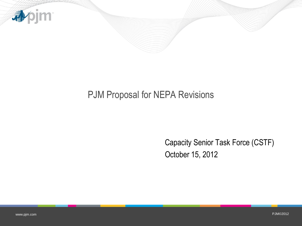

## PJM Proposal for NEPA Revisions

Capacity Senior Task Force (CSTF) October 15, 2012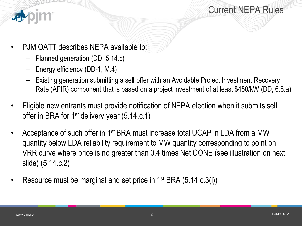



- PJM OATT describes NEPA available to:
	- Planned generation (DD, 5.14.c)
	- Energy efficiency (DD-1, M.4)
	- Existing generation submitting a sell offer with an Avoidable Project Investment Recovery Rate (APIR) component that is based on a project investment of at least \$450/kW (DD, 6.8.a)
- Eligible new entrants must provide notification of NEPA election when it submits sell offer in BRA for 1<sup>st</sup> delivery year (5.14.c.1)
- Acceptance of such offer in 1st BRA must increase total UCAP in LDA from a MW quantity below LDA reliability requirement to MW quantity corresponding to point on VRR curve where price is no greater than 0.4 times Net CONE (see illustration on next slide) (5.14.c.2)
- Resource must be marginal and set price in 1<sup>st</sup> BRA (5.14.c.3(i))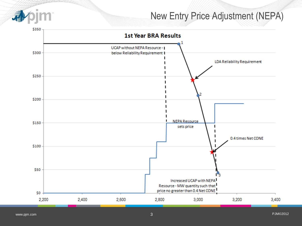

## New Entry Price Adjustment (NEPA)

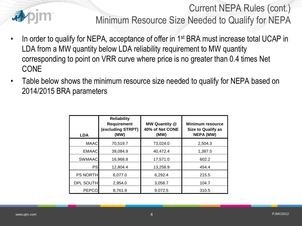

Current NEPA Rules (cont.) Minimum Resource Size Needed to Qualify for NEPA

- In order to qualify for NEPA, acceptance of offer in 1<sup>st</sup> BRA must increase total UCAP in LDA from a MW quantity below LDA reliability requirement to MW quantity corresponding to point on VRR curve where price is no greater than 0.4 times Net CONE
- Table below shows the minimum resource size needed to qualify for NEPA based on 2014/2015 BRA parameters

| <b>LDA</b>       | <b>Reliability</b><br>Requirement<br>(excluding STRPT)<br>(MW) | <b>MW Quantity @</b><br>40% of Net CONE<br>(MW) | <b>Minimum resource</b><br><b>Size to Qualify as</b><br><b>NEPA (MW)</b> |
|------------------|----------------------------------------------------------------|-------------------------------------------------|--------------------------------------------------------------------------|
| <b>MAAC</b>      | 70,519.7                                                       | 73,024.0                                        | 2.504.3                                                                  |
| <b>EMAAC</b>     | 39,084.9                                                       | 40.472.4                                        | 1,387.5                                                                  |
| <b>SWMAAC</b>    | 16,968.8                                                       | 17,571.0                                        | 602.2                                                                    |
| PS               | 12,804.4                                                       | 13,258.9                                        | 454.4                                                                    |
| <b>PS NORTH</b>  | 6,077.0                                                        | 6,292.4                                         | 215.5                                                                    |
| <b>DPL SOUTH</b> | 2,954.0                                                        | 3,058.7                                         | 104.7                                                                    |
| <b>PEPCO</b>     | 8,761.9                                                        | 9,072.5                                         | 310.5                                                                    |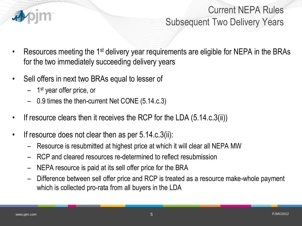

Current NEPA Rules Subsequent Two Delivery Years

- Resources meeting the 1<sup>st</sup> delivery year requirements are eligible for NEPA in the BRAs for the two immediately succeeding delivery years
- Sell offers in next two BRAs equal to lesser of
	- 1<sup>st</sup> year offer price, or
	- 0.9 times the then-current Net CONE (5.14.c.3)
- If resource clears then it receives the RCP for the LDA (5.14.c.3(ii))
- If resource does not clear then as per 5.14.c.3(ii):
	- Resource is resubmitted at highest price at which it will clear all NEPA MW
	- RCP and cleared resources re-determined to reflect resubmission
	- NEPA resource is paid at its sell offer price for the BRA
	- Difference between sell offer price and RCP is treated as a resource make-whole payment which is collected pro-rata from all buyers in the LDA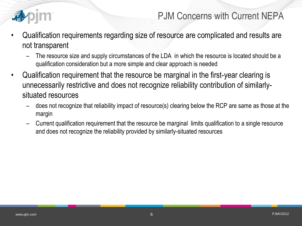

## PJM Concerns with Current NEPA

- Qualification requirements regarding size of resource are complicated and results are not transparent
	- The resource size and supply circumstances of the LDA in which the resource is located should be a qualification consideration but a more simple and clear approach is needed
- Qualification requirement that the resource be marginal in the first-year clearing is unnecessarily restrictive and does not recognize reliability contribution of similarlysituated resources
	- does not recognize that reliability impact of resource(s) clearing below the RCP are same as those at the margin
	- Current qualification requirement that the resource be marginal limits qualification to a single resource and does not recognize the reliability provided by similarly-situated resources